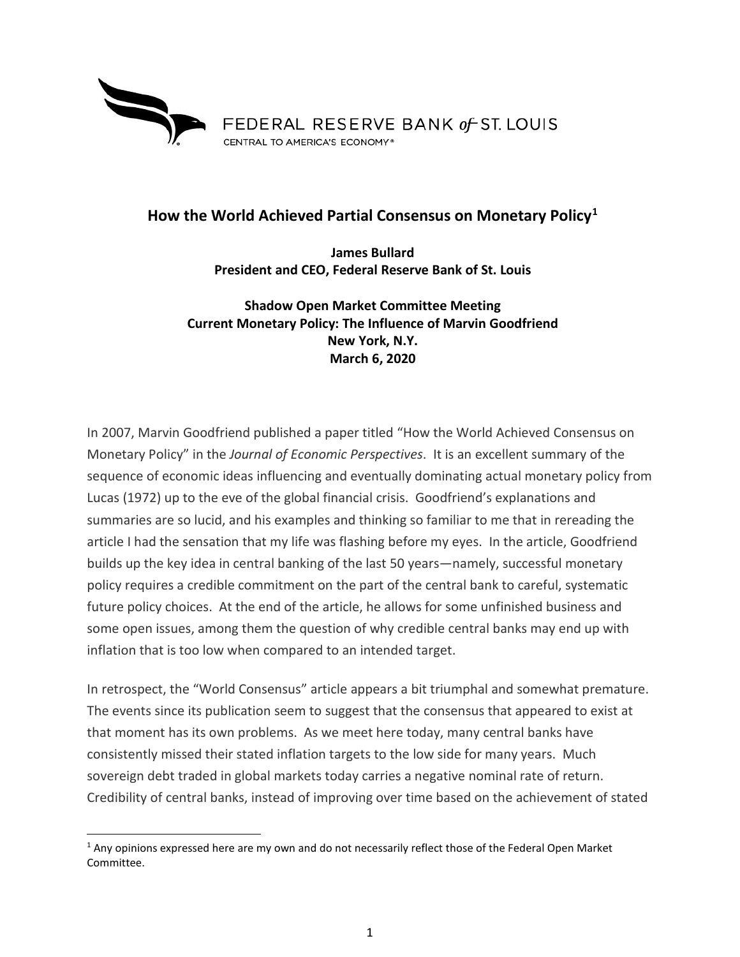

## **How the World Achieved Partial Consensus on Monetary Policy[1](#page-0-0)**

**James Bullard President and CEO, Federal Reserve Bank of St. Louis**

**Shadow Open Market Committee Meeting Current Monetary Policy: The Influence of Marvin Goodfriend New York, N.Y. March 6, 2020**

In 2007, Marvin Goodfriend published a paper titled "How the World Achieved Consensus on Monetary Policy" in the *Journal of Economic Perspectives*. It is an excellent summary of the sequence of economic ideas influencing and eventually dominating actual monetary policy from Lucas (1972) up to the eve of the global financial crisis. Goodfriend's explanations and summaries are so lucid, and his examples and thinking so familiar to me that in rereading the article I had the sensation that my life was flashing before my eyes. In the article, Goodfriend builds up the key idea in central banking of the last 50 years—namely, successful monetary policy requires a credible commitment on the part of the central bank to careful, systematic future policy choices. At the end of the article, he allows for some unfinished business and some open issues, among them the question of why credible central banks may end up with inflation that is too low when compared to an intended target.

In retrospect, the "World Consensus" article appears a bit triumphal and somewhat premature. The events since its publication seem to suggest that the consensus that appeared to exist at that moment has its own problems. As we meet here today, many central banks have consistently missed their stated inflation targets to the low side for many years. Much sovereign debt traded in global markets today carries a negative nominal rate of return. Credibility of central banks, instead of improving over time based on the achievement of stated

<span id="page-0-0"></span> $1$  Any opinions expressed here are my own and do not necessarily reflect those of the Federal Open Market Committee.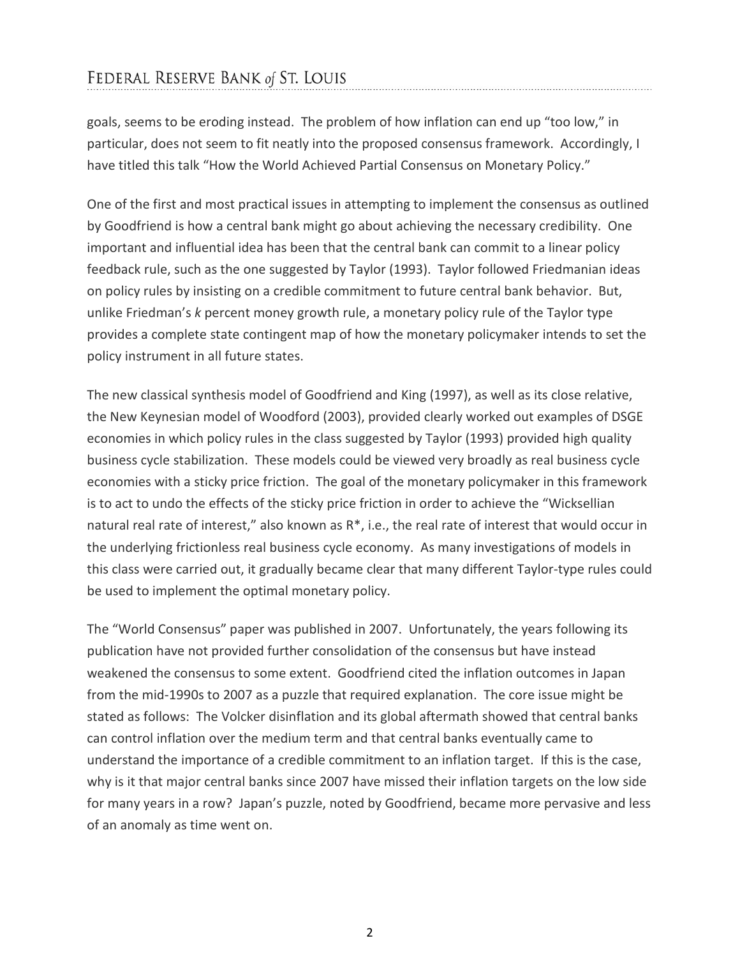## FEDERAL RESERVE BANK of ST. LOUIS

goals, seems to be eroding instead. The problem of how inflation can end up "too low," in particular, does not seem to fit neatly into the proposed consensus framework. Accordingly, I have titled this talk "How the World Achieved Partial Consensus on Monetary Policy."

One of the first and most practical issues in attempting to implement the consensus as outlined by Goodfriend is how a central bank might go about achieving the necessary credibility. One important and influential idea has been that the central bank can commit to a linear policy feedback rule, such as the one suggested by Taylor (1993). Taylor followed Friedmanian ideas on policy rules by insisting on a credible commitment to future central bank behavior. But, unlike Friedman's *k* percent money growth rule, a monetary policy rule of the Taylor type provides a complete state contingent map of how the monetary policymaker intends to set the policy instrument in all future states.

The new classical synthesis model of Goodfriend and King (1997), as well as its close relative, the New Keynesian model of Woodford (2003), provided clearly worked out examples of DSGE economies in which policy rules in the class suggested by Taylor (1993) provided high quality business cycle stabilization. These models could be viewed very broadly as real business cycle economies with a sticky price friction. The goal of the monetary policymaker in this framework is to act to undo the effects of the sticky price friction in order to achieve the "Wicksellian natural real rate of interest," also known as R\*, i.e., the real rate of interest that would occur in the underlying frictionless real business cycle economy. As many investigations of models in this class were carried out, it gradually became clear that many different Taylor-type rules could be used to implement the optimal monetary policy.

The "World Consensus" paper was published in 2007. Unfortunately, the years following its publication have not provided further consolidation of the consensus but have instead weakened the consensus to some extent. Goodfriend cited the inflation outcomes in Japan from the mid-1990s to 2007 as a puzzle that required explanation. The core issue might be stated as follows: The Volcker disinflation and its global aftermath showed that central banks can control inflation over the medium term and that central banks eventually came to understand the importance of a credible commitment to an inflation target. If this is the case, why is it that major central banks since 2007 have missed their inflation targets on the low side for many years in a row? Japan's puzzle, noted by Goodfriend, became more pervasive and less of an anomaly as time went on.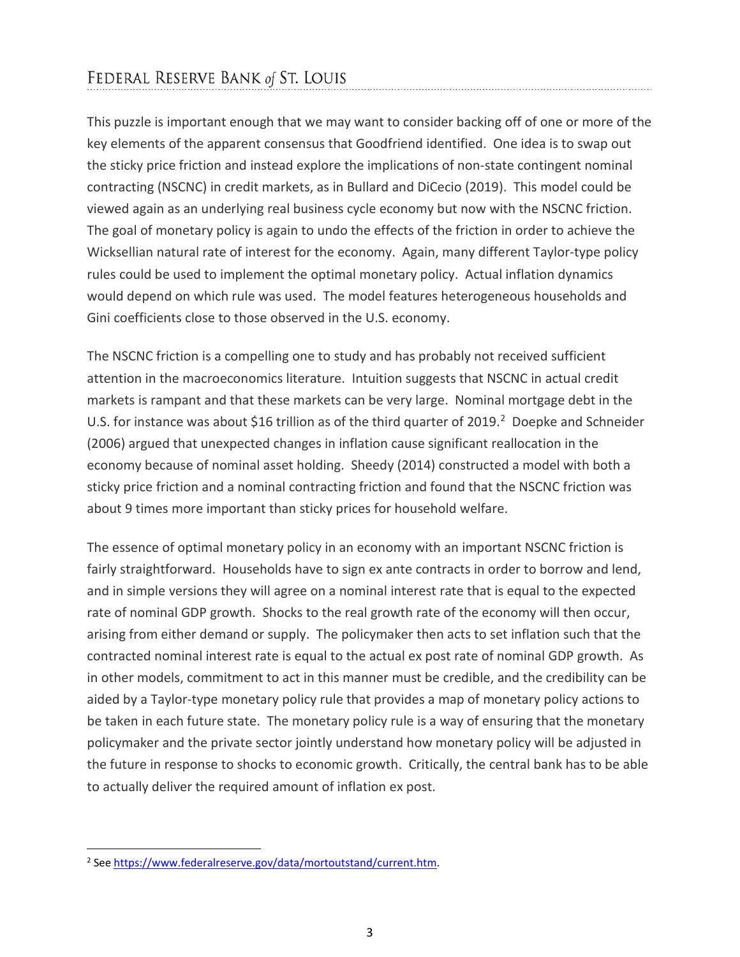This puzzle is important enough that we may want to consider backing off of one or more of the key elements of the apparent consensus that Goodfriend identified. One idea is to swap out the sticky price friction and instead explore the implications of non-state contingent nominal contracting (NSCNC) in credit markets, as in Bullard and DiCecio (2019). This model could be viewed again as an underlying real business cycle economy but now with the NSCNC friction. The goal of monetary policy is again to undo the effects of the friction in order to achieve the Wicksellian natural rate of interest for the economy. Again, many different Taylor-type policy rules could be used to implement the optimal monetary policy. Actual inflation dynamics would depend on which rule was used. The model features heterogeneous households and Gini coefficients close to those observed in the U.S. economy.

The NSCNC friction is a compelling one to study and has probably not received sufficient attention in the macroeconomics literature. Intuition suggests that NSCNC in actual credit markets is rampant and that these markets can be very large. Nominal mortgage debt in the U.S. for instance was about \$16 trillion as of the third quarter of [2](#page-2-0)019. $^2$  Doepke and Schneider (2006) argued that unexpected changes in inflation cause significant reallocation in the economy because of nominal asset holding. Sheedy (2014) constructed a model with both a sticky price friction and a nominal contracting friction and found that the NSCNC friction was about 9 times more important than sticky prices for household welfare.

The essence of optimal monetary policy in an economy with an important NSCNC friction is fairly straightforward. Households have to sign ex ante contracts in order to borrow and lend, and in simple versions they will agree on a nominal interest rate that is equal to the expected rate of nominal GDP growth. Shocks to the real growth rate of the economy will then occur, arising from either demand or supply. The policymaker then acts to set inflation such that the contracted nominal interest rate is equal to the actual ex post rate of nominal GDP growth. As in other models, commitment to act in this manner must be credible, and the credibility can be aided by a Taylor-type monetary policy rule that provides a map of monetary policy actions to be taken in each future state. The monetary policy rule is a way of ensuring that the monetary policymaker and the private sector jointly understand how monetary policy will be adjusted in the future in response to shocks to economic growth. Critically, the central bank has to be able to actually deliver the required amount of inflation ex post.

<span id="page-2-0"></span> <sup>2</sup> See [https://www.federalreserve.gov/data/mortoutstand/current.htm.](https://www.federalreserve.gov/data/mortoutstand/current.htm)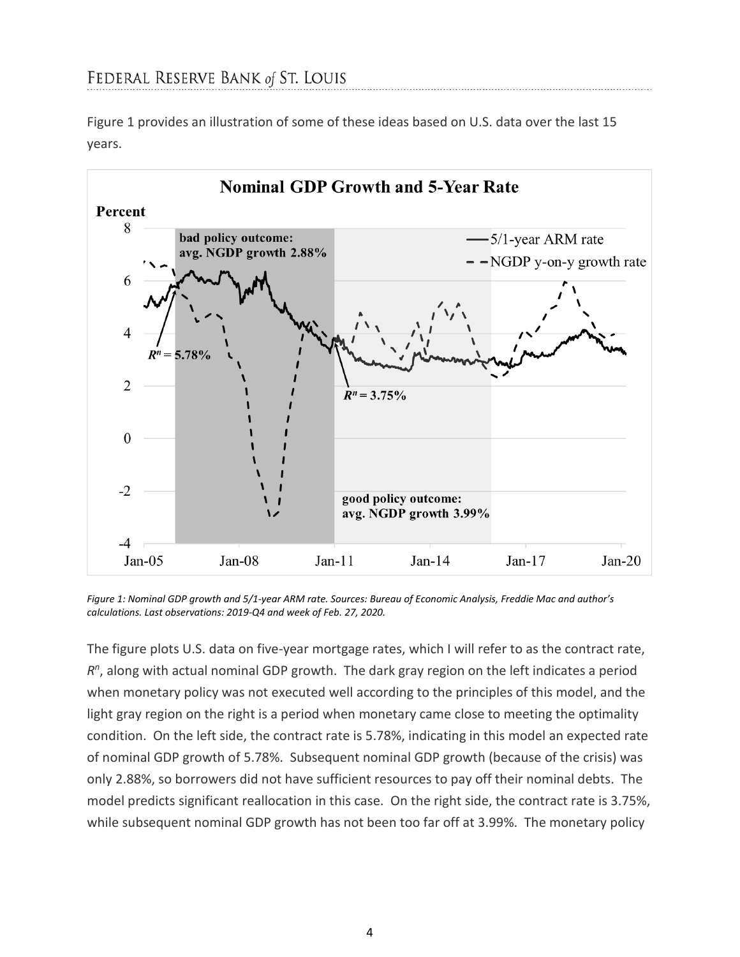Figure 1 provides an illustration of some of these ideas based on U.S. data over the last 15 years.



*Figure 1: Nominal GDP growth and 5/1-year ARM rate. Sources: Bureau of Economic Analysis, Freddie Mac and author's calculations. Last observations: 2019-Q4 and week of Feb. 27, 2020.*

The figure plots U.S. data on five-year mortgage rates, which I will refer to as the contract rate, *Rn*, along with actual nominal GDP growth. The dark gray region on the left indicates a period when monetary policy was not executed well according to the principles of this model, and the light gray region on the right is a period when monetary came close to meeting the optimality condition. On the left side, the contract rate is 5.78%, indicating in this model an expected rate of nominal GDP growth of 5.78%. Subsequent nominal GDP growth (because of the crisis) was only 2.88%, so borrowers did not have sufficient resources to pay off their nominal debts. The model predicts significant reallocation in this case. On the right side, the contract rate is 3.75%, while subsequent nominal GDP growth has not been too far off at 3.99%. The monetary policy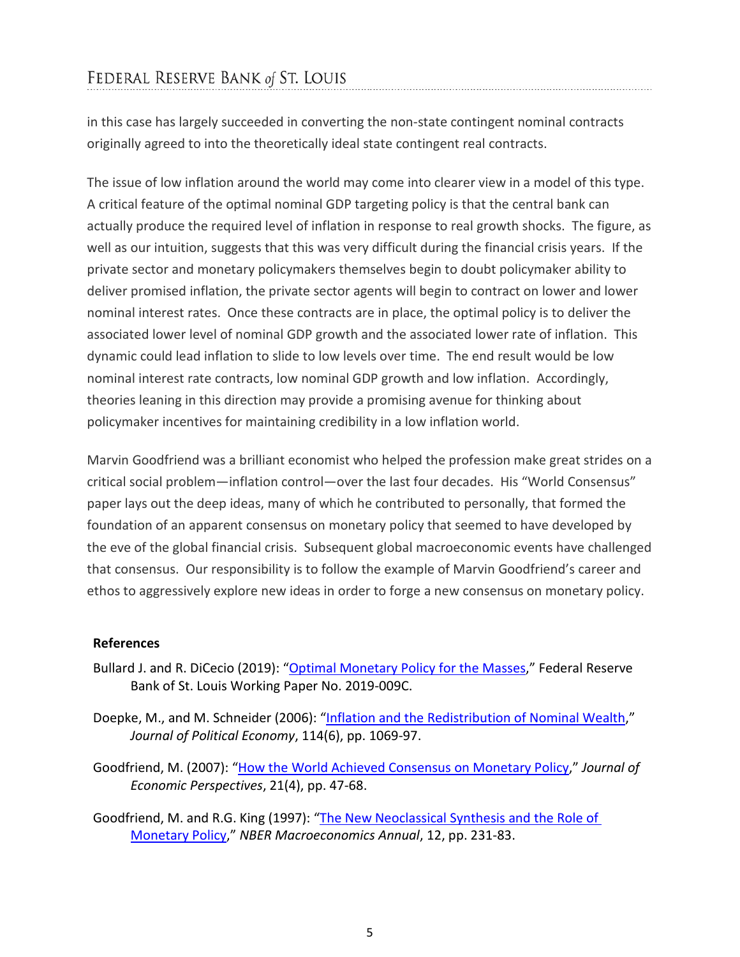in this case has largely succeeded in converting the non-state contingent nominal contracts originally agreed to into the theoretically ideal state contingent real contracts.

The issue of low inflation around the world may come into clearer view in a model of this type. A critical feature of the optimal nominal GDP targeting policy is that the central bank can actually produce the required level of inflation in response to real growth shocks. The figure, as well as our intuition, suggests that this was very difficult during the financial crisis years. If the private sector and monetary policymakers themselves begin to doubt policymaker ability to deliver promised inflation, the private sector agents will begin to contract on lower and lower nominal interest rates. Once these contracts are in place, the optimal policy is to deliver the associated lower level of nominal GDP growth and the associated lower rate of inflation. This dynamic could lead inflation to slide to low levels over time. The end result would be low nominal interest rate contracts, low nominal GDP growth and low inflation. Accordingly, theories leaning in this direction may provide a promising avenue for thinking about policymaker incentives for maintaining credibility in a low inflation world.

Marvin Goodfriend was a brilliant economist who helped the profession make great strides on a critical social problem—inflation control—over the last four decades. His "World Consensus" paper lays out the deep ideas, many of which he contributed to personally, that formed the foundation of an apparent consensus on monetary policy that seemed to have developed by the eve of the global financial crisis. Subsequent global macroeconomic events have challenged that consensus. Our responsibility is to follow the example of Marvin Goodfriend's career and ethos to aggressively explore new ideas in order to forge a new consensus on monetary policy.

## **References**

- Bullard J. and R. DiCecio (2019): ["Optimal Monetary Policy for the Masses,](https://doi.org/10.20955/wp.2019.009)" Federal Reserve Bank of St. Louis Working Paper No. 2019-009C.
- Doepke, M., and M. Schneider (2006): ["Inflation and the Redistribution of Nominal Wealth,](https://doi.org/10.1086/508379)" *Journal of Political Economy*, 114(6), pp. 1069-97.
- Goodfriend, M. (2007): ["How the World Achieved Consensus on Monetary Policy,](https://doi.org/10.1257/jep.21.4.47)" *Journal of Economic Perspectives*, 21(4), pp. 47-68.
- Goodfriend, M. and R.G. King (1997): "The New Neoclassical Synthesis and the Role of [Monetary Policy,](https://doi.org/10.2307/3585232)" *NBER Macroeconomics Annual*, 12, pp. 231-83.